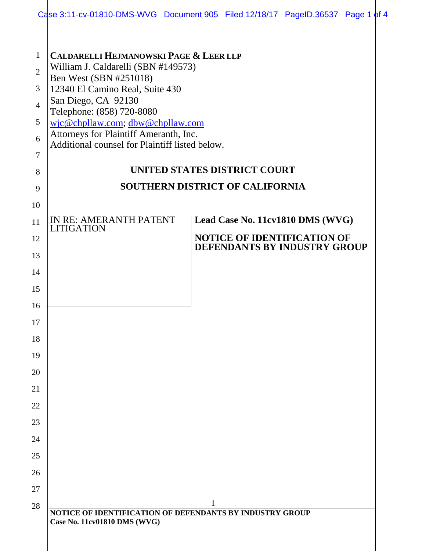|                                                                           | Case 3:11-cv-01810-DMS-WVG Document 905 Filed 12/18/17 PageID.36537 Page 1 of 4                                                                                                                                                                                                                                                           |   |                                                                        |                                                                                                        |  |
|---------------------------------------------------------------------------|-------------------------------------------------------------------------------------------------------------------------------------------------------------------------------------------------------------------------------------------------------------------------------------------------------------------------------------------|---|------------------------------------------------------------------------|--------------------------------------------------------------------------------------------------------|--|
| $\mathbf{1}$<br>$\overline{2}$<br>3<br>$\overline{4}$<br>5<br>6<br>7<br>8 | <b>CALDARELLI HEJMANOWSKI PAGE &amp; LEER LLP</b><br>William J. Caldarelli (SBN #149573)<br>Ben West (SBN #251018)<br>12340 El Camino Real, Suite 430<br>San Diego, CA 92130<br>Telephone: (858) 720-8080<br>wjc@chpllaw.com; dbw@chpllaw.com<br>Attorneys for Plaintiff Ameranth, Inc.<br>Additional counsel for Plaintiff listed below. |   | UNITED STATES DISTRICT COURT<br><b>SOUTHERN DISTRICT OF CALIFORNIA</b> |                                                                                                        |  |
| 9                                                                         |                                                                                                                                                                                                                                                                                                                                           |   |                                                                        |                                                                                                        |  |
| 10<br>11<br>12<br>13<br>14<br>15<br>16<br>17<br>18<br>19                  | IN RE: AMERANTH PATENT<br><b>LITIGATION</b>                                                                                                                                                                                                                                                                                               |   |                                                                        | Lead Case No. 11cv1810 DMS (WVG)<br><b>NOTICE OF IDENTIFICATION OF</b><br>DEFENDANTS BY INDUSTRY GROUP |  |
| 20                                                                        |                                                                                                                                                                                                                                                                                                                                           |   |                                                                        |                                                                                                        |  |
| 21                                                                        |                                                                                                                                                                                                                                                                                                                                           |   |                                                                        |                                                                                                        |  |
| 22                                                                        |                                                                                                                                                                                                                                                                                                                                           |   |                                                                        |                                                                                                        |  |
| 23                                                                        |                                                                                                                                                                                                                                                                                                                                           |   |                                                                        |                                                                                                        |  |
| 24                                                                        |                                                                                                                                                                                                                                                                                                                                           |   |                                                                        |                                                                                                        |  |
| 25                                                                        |                                                                                                                                                                                                                                                                                                                                           |   |                                                                        |                                                                                                        |  |
| 26                                                                        |                                                                                                                                                                                                                                                                                                                                           |   |                                                                        |                                                                                                        |  |
| 27                                                                        |                                                                                                                                                                                                                                                                                                                                           | 1 |                                                                        |                                                                                                        |  |
| 28                                                                        | NOTICE OF IDENTIFICATION OF DEFENDANTS BY INDUSTRY GROUP<br>Case No. 11cv01810 DMS (WVG)                                                                                                                                                                                                                                                  |   |                                                                        |                                                                                                        |  |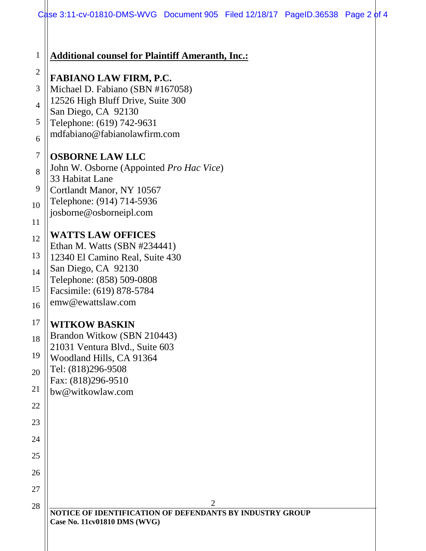|                                                                 | Case 3:11-cv-01810-DMS-WVG Document 905 Filed 12/18/17 PageID.36538 Page 2 of 4                                                                                                                                                                                                                                                                                                 |
|-----------------------------------------------------------------|---------------------------------------------------------------------------------------------------------------------------------------------------------------------------------------------------------------------------------------------------------------------------------------------------------------------------------------------------------------------------------|
| $\mathbf{1}$<br>$\mathbf{2}$<br>3<br>$\overline{4}$<br>5        | <b>Additional counsel for Plaintiff Ameranth, Inc.:</b><br><b>FABIANO LAW FIRM, P.C.</b><br>Michael D. Fabiano (SBN #167058)<br>12526 High Bluff Drive, Suite 300<br>San Diego, CA 92130<br>Telephone: (619) 742-9631<br>mdfabiano@fabianolawfirm.com                                                                                                                           |
| 6<br>$\tau$<br>8<br>9<br>10<br>11<br>12<br>13<br>14<br>15<br>16 | <b>OSBORNE LAW LLC</b><br>John W. Osborne (Appointed Pro Hac Vice)<br>33 Habitat Lane<br>Cortlandt Manor, NY 10567<br>Telephone: (914) 714-5936<br>josborne@osborneipl.com<br><b>WATTS LAW OFFICES</b><br>Ethan M. Watts (SBN #234441)<br>12340 El Camino Real, Suite 430<br>San Diego, CA 92130<br>Telephone: (858) 509-0808<br>Facsimile: (619) 878-5784<br>emw@ewattslaw.com |
| 17<br>18<br>19<br>20<br>21<br>22<br>23<br>24<br>25<br>26<br>27  | <b>WITKOW BASKIN</b><br>Brandon Witkow (SBN 210443)<br>21031 Ventura Blvd., Suite 603<br>Woodland Hills, CA 91364<br>Tel: (818)296-9508<br>Fax: (818)296-9510<br>bw@witkowlaw.com                                                                                                                                                                                               |
| 28                                                              | $\overline{2}$<br>NOTICE OF IDENTIFICATION OF DEFENDANTS BY INDUSTRY GROUP<br>Case No. 11cv01810 DMS (WVG)                                                                                                                                                                                                                                                                      |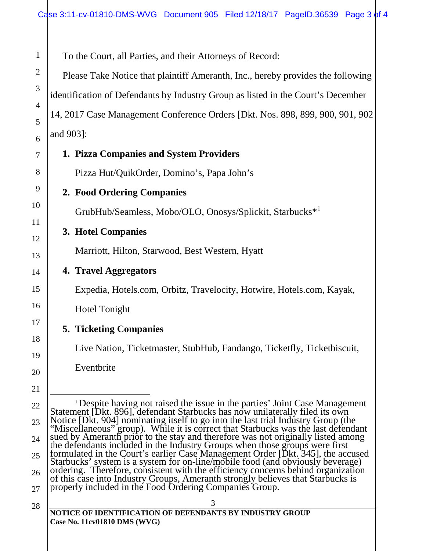To the Court, all Parties, and their Attorneys of Record:

Please Take Notice that plaintiff Ameranth, Inc., hereby provides the following identification of Defendants by Industry Group as listed in the Court's December 14, 2017 Case Management Conference Orders [Dkt. Nos. 898, 899, 900, 901, 902 and 903]:

## **1. Pizza Companies and System Providers**

Pizza Hut/QuikOrder, Domino's, Papa John's

## **2. Food Ordering Companies**

GrubHub/Seamless, Mobo/OLO, Onosys/Splickit, Starbucks\*<sup>1</sup>

#### **3. Hotel Companies**

Marriott, Hilton, Starwood, Best Western, Hyatt

**4. Travel Aggregators**

Expedia, Hotels.com, Orbitz, Travelocity, Hotwire, Hotels.com, Kayak,

Hotel Tonight

# **5. Ticketing Companies**

Live Nation, Ticketmaster, StubHub, Fandango, Ticketfly, Ticketbiscuit,

<sup>1</sup> Despite having not raised the issue in the parties' Joint Case Management<br>Statement [Dkt. 896], defendant Starbucks has now unilaterally filed its own

Notice [Dkt. 904] nominating itself to go into the last trial Industry Group (the "Miscellaneous" group). While it is correct that Starbucks was the last defendant

sued by Ameranth prior to the stay and therefore was not originally listed among the defendants included in the Industry Groups when those groups were first

formulated in the Court's earlier Case Management Order [Dkt. 345], the accused<br>Starbucks' system is a system for on-line/mobile food (and obviously beverage)<br>ordering. Therefore, consistent with the efficiency concerns be

Eventbrite

1

2

3

4

5

6

27 28

| ٠<br>I        |
|---------------|
| ۰.<br>۰,<br>× |

# **NOTICE OF IDENTIFICATION OF DEFENDANTS BY INDUSTRY GROUP Case No. 11cv01810 DMS (WVG)**

properly included in the Food Ordering Companies Group.